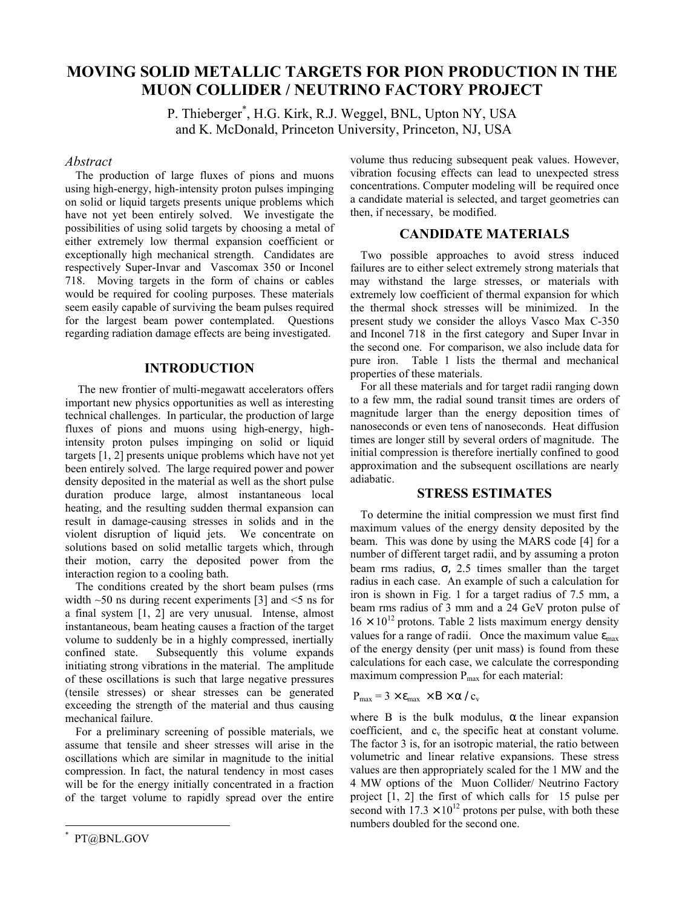# **MOVING SOLID METALLIC TARGETS FOR PION PRODUCTION IN THE MUON COLLIDER / NEUTRINO FACTORY PROJECT**

P. Thieberger\* , H.G. Kirk, R.J. Weggel, BNL, Upton NY, USA and K. McDonald, Princeton University, Princeton, NJ, USA

#### *Abstract*

The production of large fluxes of pions and muons using high-energy, high-intensity proton pulses impinging on solid or liquid targets presents unique problems which have not yet been entirely solved. We investigate the possibilities of using solid targets by choosing a metal of either extremely low thermal expansion coefficient or exceptionally high mechanical strength. Candidates are respectively Super-Invar and Vascomax 350 or Inconel 718. Moving targets in the form of chains or cables would be required for cooling purposes. These materials seem easily capable of surviving the beam pulses required for the largest beam power contemplated. Questions regarding radiation damage effects are being investigated.

### **INTRODUCTION**

The new frontier of multi-megawatt accelerators offers important new physics opportunities as well as interesting technical challenges. In particular, the production of large fluxes of pions and muons using high-energy, highintensity proton pulses impinging on solid or liquid targets [1, 2] presents unique problems which have not yet been entirely solved. The large required power and power density deposited in the material as well as the short pulse duration produce large, almost instantaneous local heating, and the resulting sudden thermal expansion can result in damage-causing stresses in solids and in the violent disruption of liquid jets. We concentrate on solutions based on solid metallic targets which, through their motion, carry the deposited power from the interaction region to a cooling bath.

The conditions created by the short beam pulses (rms width  $~50$  ns during recent experiments [3] and  $~5$  ns for a final system [1, 2] are very unusual. Intense, almost instantaneous, beam heating causes a fraction of the target volume to suddenly be in a highly compressed, inertially confined state. Subsequently this volume expands initiating strong vibrations in the material. The amplitude of these oscillations is such that large negative pressures (tensile stresses) or shear stresses can be generated exceeding the strength of the material and thus causing mechanical failure.

For a preliminary screening of possible materials, we assume that tensile and sheer stresses will arise in the oscillations which are similar in magnitude to the initial compression. In fact, the natural tendency in most cases will be for the energy initially concentrated in a fraction of the target volume to rapidly spread over the entire

 $\overline{a}$ 

volume thus reducing subsequent peak values. However, vibration focusing effects can lead to unexpected stress concentrations. Computer modeling will be required once a candidate material is selected, and target geometries can then, if necessary, be modified.

#### **CANDIDATE MATERIALS**

Two possible approaches to avoid stress induced failures are to either select extremely strong materials that may withstand the large stresses, or materials with extremely low coefficient of thermal expansion for which the thermal shock stresses will be minimized. In the present study we consider the alloys Vasco Max C-350 and Inconel 718 in the first category and Super Invar in the second one. For comparison, we also include data for pure iron. Table 1 lists the thermal and mechanical properties of these materials.

For all these materials and for target radii ranging down to a few mm, the radial sound transit times are orders of magnitude larger than the energy deposition times of nanoseconds or even tens of nanoseconds. Heat diffusion times are longer still by several orders of magnitude. The initial compression is therefore inertially confined to good approximation and the subsequent oscillations are nearly adiabatic.

### **STRESS ESTIMATES**

To determine the initial compression we must first find maximum values of the energy density deposited by the beam. This was done by using the MARS code [4] for a number of different target radii, and by assuming a proton beam rms radius,  $\sigma$ , 2.5 times smaller than the target radius in each case. An example of such a calculation for iron is shown in Fig. 1 for a target radius of 7.5 mm, a beam rms radius of 3 mm and a 24 GeV proton pulse of  $16 \times 10^{12}$  protons. Table 2 lists maximum energy density values for a range of radii. Once the maximum value  $\varepsilon_{\text{max}}$ of the energy density (per unit mass) is found from these calculations for each case, we calculate the corresponding maximum compression  $P_{\text{max}}$  for each material:

### $P_{max} = 3 \times \varepsilon_{max} \times B \times \alpha / c_v$

where B is the bulk modulus,  $\alpha$  the linear expansion coefficient, and  $c_v$  the specific heat at constant volume. The factor 3 is, for an isotropic material, the ratio between volumetric and linear relative expansions. These stress values are then appropriately scaled for the 1 MW and the 4 MW options of the Muon Collider/ Neutrino Factory project [1, 2] the first of which calls for 15 pulse per second with  $17.3 \times 10^{12}$  protons per pulse, with both these numbers doubled for the second one.

<sup>\*</sup> PT@BNL.GOV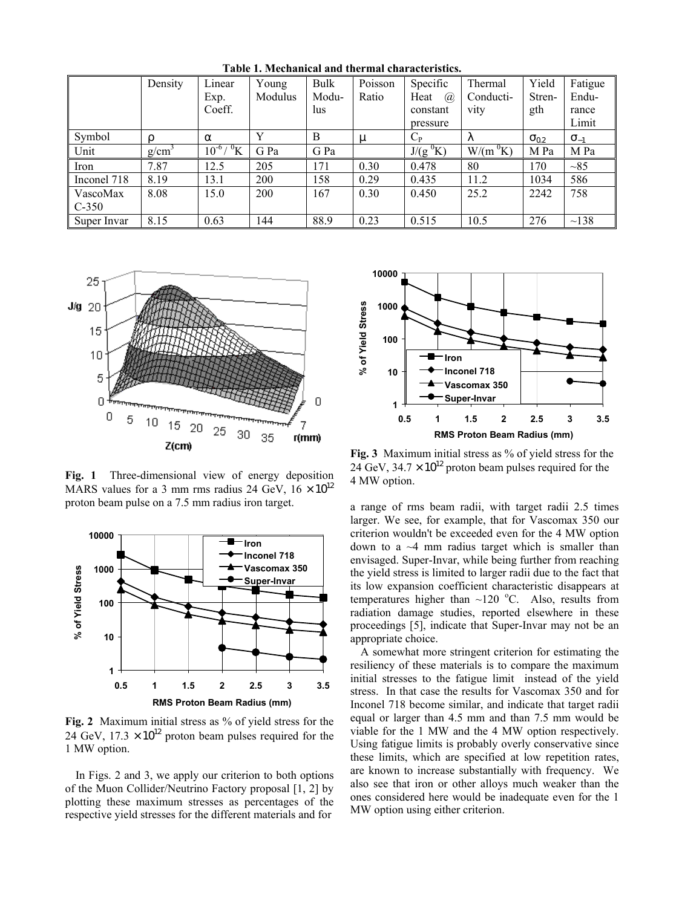|             | Density           | Linear                  | Young   | Bulk  | Poisson | Specific         | Thermal    | Yield          | Fatigue       |
|-------------|-------------------|-------------------------|---------|-------|---------|------------------|------------|----------------|---------------|
|             |                   | Exp.                    | Modulus | Modu- | Ratio   | $\omega$<br>Heat | Conducti-  | Stren-         | Endu-         |
|             |                   | Coeff.                  |         | lus   |         | constant         | vity       | gth            | rance         |
|             |                   |                         |         |       |         | pressure         |            |                | Limit         |
| Symbol      | 0                 | $\alpha$                | Y       | B     | μ       | $C_{P}$          | $\lambda$  | $\sigma_{0.2}$ | $\sigma_{-1}$ |
| Unit        | g/cm <sup>3</sup> | ${}^0$ K<br>$10^{-6}$ / | G Pa    | G Pa  |         | $J/(g^{0}K)$     | $W/(m^0K)$ | M Pa           | M Pa          |
| Iron        | 7.87              | 12.5                    | 205     | 171   | 0.30    | 0.478            | 80         | 170            | $~10-85$      |
| Inconel 718 | 8.19              | 13.1                    | 200     | 158   | 0.29    | 0.435            | 11.2       | 1034           | 586           |
| VascoMax    | 8.08              | 15.0                    | 200     | 167   | 0.30    | 0.450            | 25.2       | 2242           | 758           |
| $C-350$     |                   |                         |         |       |         |                  |            |                |               |
| Super Invar | 8.15              | 0.63                    | 144     | 88.9  | 0.23    | 0.515            | 10.5       | 276            | $\sim$ 138    |

**Table 1. Mechanical and thermal characteristics.** 



**Fig. 1** Three-dimensional view of energy deposition MARS values for a 3 mm rms radius 24 GeV,  $16 \times 10^{12}$ proton beam pulse on a 7.5 mm radius iron target.



**Fig. 2** Maximum initial stress as % of yield stress for the 24 GeV,  $17.3 \times 10^{12}$  proton beam pulses required for the 1 MW option.

In Figs. 2 and 3, we apply our criterion to both options of the Muon Collider/Neutrino Factory proposal [1, 2] by plotting these maximum stresses as percentages of the respective yield stresses for the different materials and for



**Fig. 3** Maximum initial stress as % of yield stress for the 24 GeV,  $34.7 \times 10^{12}$  proton beam pulses required for the 4 MW option.

a range of rms beam radii, with target radii 2.5 times larger. We see, for example, that for Vascomax 350 our criterion wouldn't be exceeded even for the 4 MW option down to a  $\sim$ 4 mm radius target which is smaller than envisaged. Super-Invar, while being further from reaching the yield stress is limited to larger radii due to the fact that its low expansion coefficient characteristic disappears at temperatures higher than  $\sim$ 120 °C. Also, results from radiation damage studies, reported elsewhere in these proceedings [5], indicate that Super-Invar may not be an appropriate choice.

A somewhat more stringent criterion for estimating the resiliency of these materials is to compare the maximum initial stresses to the fatigue limit instead of the yield stress. In that case the results for Vascomax 350 and for Inconel 718 become similar, and indicate that target radii equal or larger than 4.5 mm and than 7.5 mm would be viable for the 1 MW and the 4 MW option respectively. Using fatigue limits is probably overly conservative since these limits, which are specified at low repetition rates, are known to increase substantially with frequency. We also see that iron or other alloys much weaker than the ones considered here would be inadequate even for the 1 MW option using either criterion.